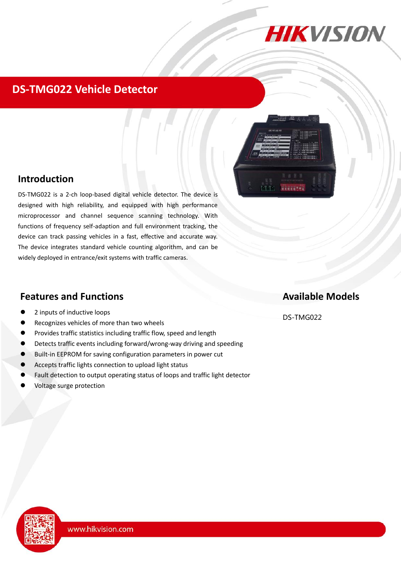

## **DS-TMG022 Vehicle Detector**



## **Introduction**

DS-TMG022 is a 2-ch loop-based digital vehicle detector. The device is designed with high reliability, and equipped with high performance microprocessor and channel sequence scanning technology. With functions of frequency self-adaption and full environment tracking, the device can track passing vehicles in a fast, effective and accurate way. The device integrates standard vehicle counting algorithm, and can be widely deployed in entrance/exit systems with traffic cameras.

### **Features and Functions**

- 2 inputs of inductive loops
- Recognizes vehicles of more than two wheels
- Provides traffic statistics including traffic flow, speed and length
- Detects traffic events including forward/wrong-way driving and speeding
- Built-in EEPROM for saving configuration parameters in power cut
- Accepts traffic lights connection to upload light status
- Fault detection to output operating status of loops and traffic light detector
- Voltage surge protection

### **Available Models**

#### DS-TMG022